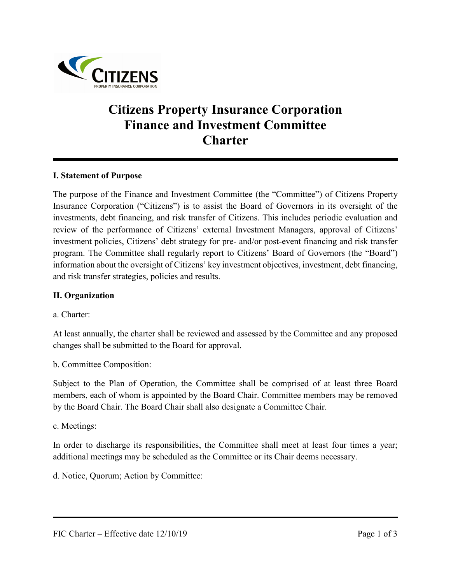

# **Citizens Property Insurance Corporation Finance and Investment Committee Charter**

#### **I. Statement of Purpose**

The purpose of the Finance and Investment Committee (the "Committee") of Citizens Property Insurance Corporation ("Citizens") is to assist the Board of Governors in its oversight of the investments, debt financing, and risk transfer of Citizens. This includes periodic evaluation and review of the performance of Citizens' external Investment Managers, approval of Citizens' investment policies, Citizens' debt strategy for pre- and/or post-event financing and risk transfer program. The Committee shall regularly report to Citizens' Board of Governors (the "Board") information about the oversight of Citizens' key investment objectives, investment, debt financing, and risk transfer strategies, policies and results.

#### **II. Organization**

a. Charter:

At least annually, the charter shall be reviewed and assessed by the Committee and any proposed changes shall be submitted to the Board for approval.

b. Committee Composition:

Subject to the Plan of Operation, the Committee shall be comprised of at least three Board members, each of whom is appointed by the Board Chair. Committee members may be removed by the Board Chair. The Board Chair shall also designate a Committee Chair.

c. Meetings:

In order to discharge its responsibilities, the Committee shall meet at least four times a year; additional meetings may be scheduled as the Committee or its Chair deems necessary.

d. Notice, Quorum; Action by Committee: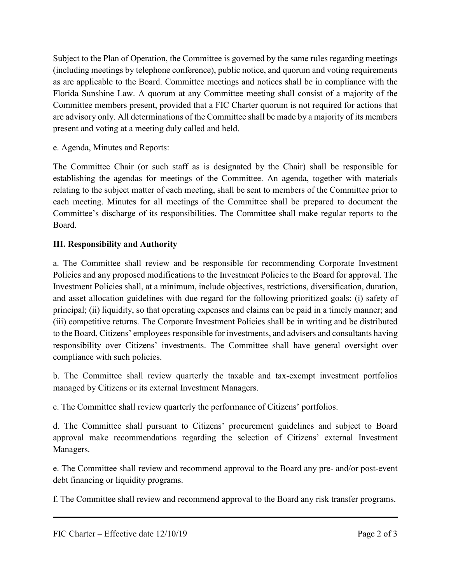Subject to the Plan of Operation, the Committee is governed by the same rules regarding meetings (including meetings by telephone conference), public notice, and quorum and voting requirements as are applicable to the Board. Committee meetings and notices shall be in compliance with the Florida Sunshine Law. A quorum at any Committee meeting shall consist of a majority of the Committee members present, provided that a FIC Charter quorum is not required for actions that are advisory only. All determinations of the Committee shall be made by a majority of its members present and voting at a meeting duly called and held.

e. Agenda, Minutes and Reports:

The Committee Chair (or such staff as is designated by the Chair) shall be responsible for establishing the agendas for meetings of the Committee. An agenda, together with materials relating to the subject matter of each meeting, shall be sent to members of the Committee prior to each meeting. Minutes for all meetings of the Committee shall be prepared to document the Committee's discharge of its responsibilities. The Committee shall make regular reports to the Board.

## **III. Responsibility and Authority**

a. The Committee shall review and be responsible for recommending Corporate Investment Policies and any proposed modifications to the Investment Policies to the Board for approval. The Investment Policies shall, at a minimum, include objectives, restrictions, diversification, duration, and asset allocation guidelines with due regard for the following prioritized goals: (i) safety of principal; (ii) liquidity, so that operating expenses and claims can be paid in a timely manner; and (iii) competitive returns. The Corporate Investment Policies shall be in writing and be distributed to the Board, Citizens' employees responsible for investments, and advisers and consultants having responsibility over Citizens' investments. The Committee shall have general oversight over compliance with such policies.

b. The Committee shall review quarterly the taxable and tax-exempt investment portfolios managed by Citizens or its external Investment Managers.

c. The Committee shall review quarterly the performance of Citizens' portfolios.

d. The Committee shall pursuant to Citizens' procurement guidelines and subject to Board approval make recommendations regarding the selection of Citizens' external Investment Managers.

e. The Committee shall review and recommend approval to the Board any pre- and/or post-event debt financing or liquidity programs.

f. The Committee shall review and recommend approval to the Board any risk transfer programs.